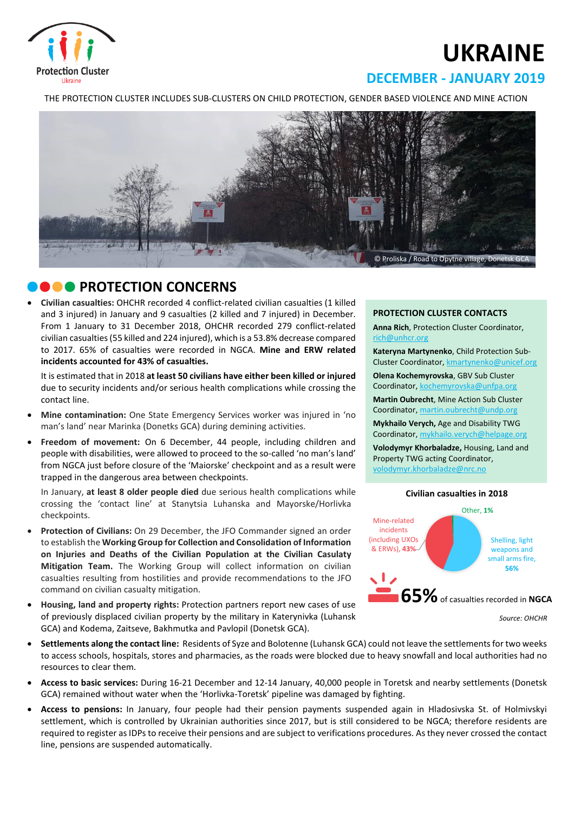

# **UKRAINE**

## **DECEMBER - JANUARY 2019**

THE PROTECTION CLUSTER INCLUDES SUB-CLUSTERS ON CHILD PROTECTION, GENDER BASED VIOLENCE AND MINE ACTION



## **CONCERNS**

 **Civilian casualties:** OHCHR recorded 4 conflict-related civilian casualties (1 killed and 3 injured) in January and 9 casualties (2 killed and 7 injured) in December. From 1 January to 31 December 2018, OHCHR recorded 279 conflict-related civilian casualties(55 killed and 224 injured), which is a 53.8% decrease compared to 2017. 65% of casualties were recorded in NGCA. **Mine and ERW related incidents accounted for 43% of casualties.**

It is estimated that in 2018 **at least 50 civilians have either been killed or injured** due to security incidents and/or serious health complications while crossing the contact line.

- **Mine contamination:** One State Emergency Services worker was injured in 'no man's land' near Marinka (Donetks GCA) during demining activities.
- **Freedom of movement:** On 6 December, 44 people, including children and people with disabilities, were allowed to proceed to the so-called 'no man's land' from NGCA just before closure of the 'Maiorske' checkpoint and as a result were trapped in the dangerous area between checkpoints.

In January, **at least 8 older people died** due serious health complications while crossing the 'contact line' at Stanytsia Luhanska and Mayorske/Horlivka checkpoints.

- **Protection of Civilians:** On 29 December, the JFO Commander signed an order to establish the **Working Group for Collection and Consolidation of Information on Injuries and Deaths of the Civilian Population at the Civilian Casulaty Mitigation Team.** The Working Group will collect information on civilian casualties resulting from hostilities and provide recommendations to the JFO command on civilian casualty mitigation.
- **Housing, land and property rights:** Protection partners report new cases of use of previously displaced civilian property by the military in Katerynivka (Luhansk GCA) and Kodema, Zaitseve, Bakhmutka and Pavlopil (Donetsk GCA).



**Anna Rich**, Protection Cluster Coordinator, [rich@unhcr.org](mailto:rich@unhcr.org)

**Kateryna Martynenko**, Child Protection Sub-Cluster Coordinator, kmartynenko@unicef.org

**Olena Kochemyrovska**, GBV Sub Cluster Coordinator, [kochemyrovska@unfpa.org](mailto:kristesashvili@unfpa.org)

**Martin Oubrecht**, Mine Action Sub Cluster Coordinator, [martin.oubrecht@undp.org](mailto:martin.oubrecht@undp.org)

**Mykhailo Verych,** Age and Disability TWG Coordinator, [mykhailo.verych@helpage.org](mailto:mykhailo.verych@helpage.org)

**Volodymyr Khorbaladze,** Housing, Land and Property TWG acting Coordinator, [volodymyr.khorbaladze@nrc.no](mailto:volodymyr.khorbaladze@nrc.no)



- **Settlements along the contact line:** Residents of Syze and Bolotenne (Luhansk GCA) could not leave the settlements for two weeks to access schools, hospitals, stores and pharmacies, as the roads were blocked due to heavy snowfall and local authorities had no resources to clear them.
- **Access to basic services:** During 16-21 December and 12-14 January, 40,000 people in Toretsk and nearby settlements (Donetsk GCA) remained without water when the 'Horlivka-Toretsk' pipeline was damaged by fighting.
- **Access to pensions:** In January, four people had their pension payments suspended again in Hladosivska St. of Holmivskyi settlement, which is controlled by Ukrainian authorities since 2017, but is still considered to be NGCA; therefore residents are required to register as IDPs to receive their pensions and are subject to verifications procedures. As they never crossed the contact line, pensions are suspended automatically.